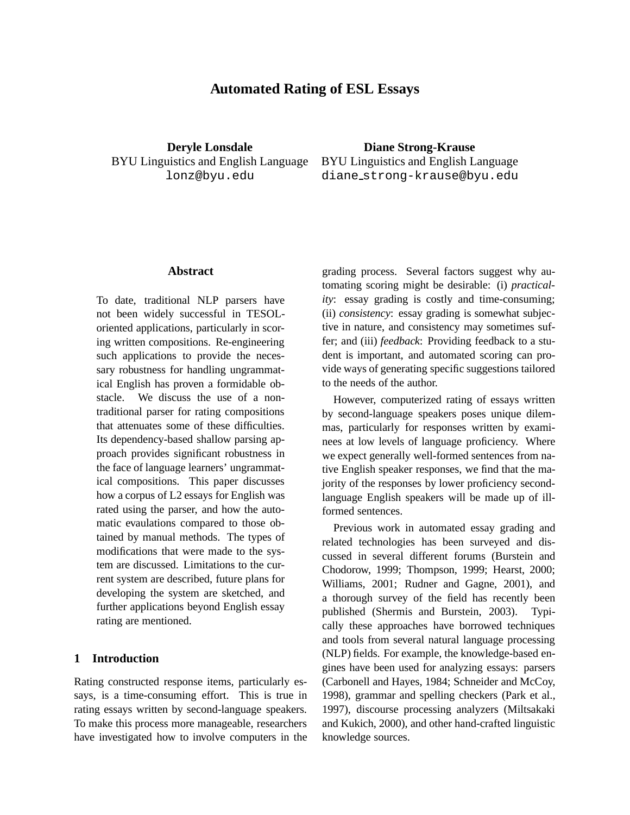# **Automated Rating of ESL Essays**

**Deryle Lonsdale** BYU Linguistics and English Language lonz@byu.edu

**Diane Strong-Krause** BYU Linguistics and English Language diane strong-krause@byu.edu

### **Abstract**

To date, traditional NLP parsers have not been widely successful in TESOLoriented applications, particularly in scoring written compositions. Re-engineering such applications to provide the necessary robustness for handling ungrammatical English has proven a formidable obstacle. We discuss the use of a nontraditional parser for rating compositions that attenuates some of these difficulties. Its dependency-based shallow parsing approach provides significant robustness in the face of language learners' ungrammatical compositions. This paper discusses how a corpus of L2 essays for English was rated using the parser, and how the automatic evaulations compared to those obtained by manual methods. The types of modifications that were made to the system are discussed. Limitations to the current system are described, future plans for developing the system are sketched, and further applications beyond English essay rating are mentioned.

## **1 Introduction**

Rating constructed response items, particularly essays, is a time-consuming effort. This is true in rating essays written by second-language speakers. To make this process more manageable, researchers have investigated how to involve computers in the grading process. Several factors suggest why automating scoring might be desirable: (i) *practicality*: essay grading is costly and time-consuming; (ii) *consistency*: essay grading is somewhat subjective in nature, and consistency may sometimes suffer; and (iii) *feedback*: Providing feedback to a student is important, and automated scoring can provide ways of generating specific suggestions tailored to the needs of the author.

However, computerized rating of essays written by second-language speakers poses unique dilemmas, particularly for responses written by examinees at low levels of language proficiency. Where we expect generally well-formed sentences from native English speaker responses, we find that the majority of the responses by lower proficiency secondlanguage English speakers will be made up of illformed sentences.

Previous work in automated essay grading and related technologies has been surveyed and discussed in several different forums (Burstein and Chodorow, 1999; Thompson, 1999; Hearst, 2000; Williams, 2001; Rudner and Gagne, 2001), and a thorough survey of the field has recently been published (Shermis and Burstein, 2003). Typically these approaches have borrowed techniques and tools from several natural language processing (NLP) fields. For example, the knowledge-based engines have been used for analyzing essays: parsers (Carbonell and Hayes, 1984; Schneider and McCoy, 1998), grammar and spelling checkers (Park et al., 1997), discourse processing analyzers (Miltsakaki and Kukich, 2000), and other hand-crafted linguistic knowledge sources.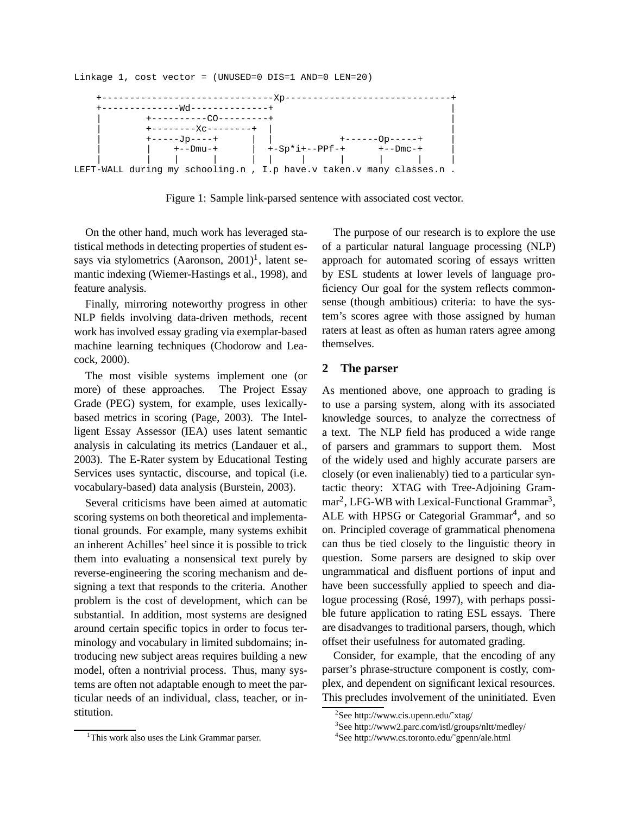Linkage 1, cost vector = (UNUSED=0 DIS=1 AND=0 LEN=20)



Figure 1: Sample link-parsed sentence with associated cost vector.

On the other hand, much work has leveraged statistical methods in detecting properties of student essays via stylometrics (Aaronson,  $2001$ )<sup>1</sup>, latent semantic indexing (Wiemer-Hastings et al., 1998), and feature analysis.

Finally, mirroring noteworthy progress in other NLP fields involving data-driven methods, recent work has involved essay grading via exemplar-based machine learning techniques (Chodorow and Leacock, 2000).

The most visible systems implement one (or more) of these approaches. The Project Essay Grade (PEG) system, for example, uses lexicallybased metrics in scoring (Page, 2003). The Intelligent Essay Assessor (IEA) uses latent semantic analysis in calculating its metrics (Landauer et al., 2003). The E-Rater system by Educational Testing Services uses syntactic, discourse, and topical (i.e. vocabulary-based) data analysis (Burstein, 2003).

Several criticisms have been aimed at automatic scoring systems on both theoretical and implementational grounds. For example, many systems exhibit an inherent Achilles' heel since it is possible to trick them into evaluating a nonsensical text purely by reverse-engineering the scoring mechanism and designing a text that responds to the criteria. Another problem is the cost of development, which can be substantial. In addition, most systems are designed around certain specific topics in order to focus terminology and vocabulary in limited subdomains; introducing new subject areas requires building a new model, often a nontrivial process. Thus, many systems are often not adaptable enough to meet the particular needs of an individual, class, teacher, or institution.

The purpose of our research is to explore the use of a particular natural language processing (NLP) approach for automated scoring of essays written by ESL students at lower levels of language proficiency Our goal for the system reflects commonsense (though ambitious) criteria: to have the system's scores agree with those assigned by human raters at least as often as human raters agree among themselves.

#### **2 The parser**

As mentioned above, one approach to grading is to use a parsing system, along with its associated knowledge sources, to analyze the correctness of a text. The NLP field has produced a wide range of parsers and grammars to support them. Most of the widely used and highly accurate parsers are closely (or even inalienably) tied to a particular syntactic theory: XTAG with Tree-Adjoining Gram $mar<sup>2</sup>$ , LFG-WB with Lexical-Functional Grammar<sup>3</sup>, ALE with HPSG or Categorial Grammar<sup>4</sup>, and so on. Principled coverage of grammatical phenomena can thus be tied closely to the linguistic theory in question. Some parsers are designed to skip over ungrammatical and disfluent portions of input and have been successfully applied to speech and dialogue processing (Rosé, 1997), with perhaps possible future application to rating ESL essays. There are disadvanges to traditional parsers, though, which offset their usefulness for automated grading.

Consider, for example, that the encoding of any parser's phrase-structure component is costly, complex, and dependent on significant lexical resources. This precludes involvement of the uninitiated. Even

<sup>2</sup> See http://www.cis.upenn.edu/˜xtag/

<sup>3</sup> See http://www2.parc.com/istl/groups/nltt/medley/

<sup>4</sup> See http://www.cs.toronto.edu/˜gpenn/ale.html

<sup>&</sup>lt;sup>1</sup>This work also uses the Link Grammar parser.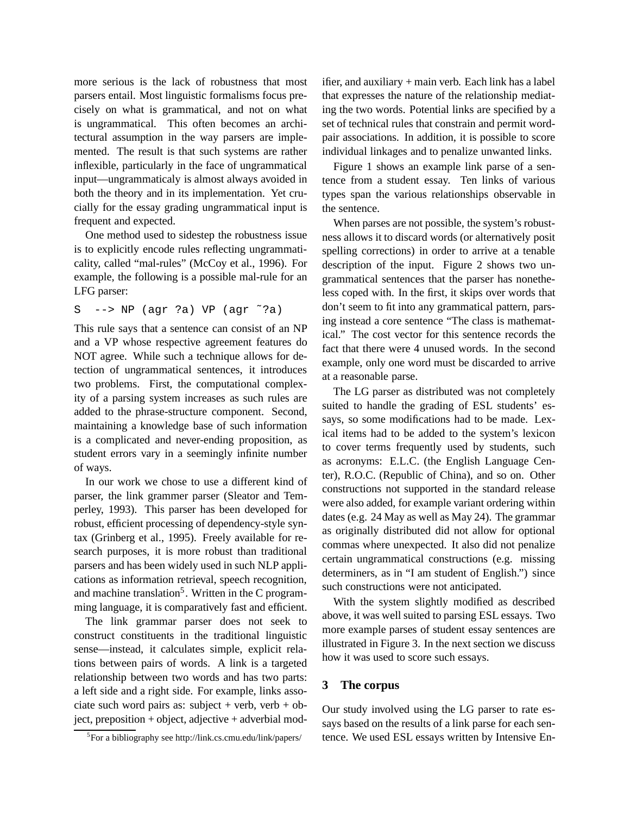more serious is the lack of robustness that most parsers entail. Most linguistic formalisms focus precisely on what is grammatical, and not on what is ungrammatical. This often becomes an architectural assumption in the way parsers are implemented. The result is that such systems are rather inflexible, particularly in the face of ungrammatical input—ungrammaticaly is almost always avoided in both the theory and in its implementation. Yet crucially for the essay grading ungrammatical input is frequent and expected.

One method used to sidestep the robustness issue is to explicitly encode rules reflecting ungrammaticality, called "mal-rules" (McCoy et al., 1996). For example, the following is a possible mal-rule for an LFG parser:

```
S --> NP (agr ?a) VP (agr ˜?a)
```
This rule says that a sentence can consist of an NP and a VP whose respective agreement features do NOT agree. While such a technique allows for detection of ungrammatical sentences, it introduces two problems. First, the computational complexity of a parsing system increases as such rules are added to the phrase-structure component. Second, maintaining a knowledge base of such information is a complicated and never-ending proposition, as student errors vary in a seemingly infinite number of ways.

In our work we chose to use a different kind of parser, the link grammer parser (Sleator and Temperley, 1993). This parser has been developed for robust, efficient processing of dependency-style syntax (Grinberg et al., 1995). Freely available for research purposes, it is more robust than traditional parsers and has been widely used in such NLP applications as information retrieval, speech recognition, and machine translation<sup>5</sup>. Written in the C programming language, it is comparatively fast and efficient.

The link grammar parser does not seek to construct constituents in the traditional linguistic sense—instead, it calculates simple, explicit relations between pairs of words. A link is a targeted relationship between two words and has two parts: a left side and a right side. For example, links associate such word pairs as: subject + verb, verb + object, preposition + object, adjective + adverbial modifier, and auxiliary + main verb. Each link has a label that expresses the nature of the relationship mediating the two words. Potential links are specified by a set of technical rules that constrain and permit wordpair associations. In addition, it is possible to score individual linkages and to penalize unwanted links.

Figure 1 shows an example link parse of a sentence from a student essay. Ten links of various types span the various relationships observable in the sentence.

When parses are not possible, the system's robustness allows it to discard words (or alternatively posit spelling corrections) in order to arrive at a tenable description of the input. Figure 2 shows two ungrammatical sentences that the parser has nonetheless coped with. In the first, it skips over words that don't seem to fit into any grammatical pattern, parsing instead a core sentence "The class is mathematical." The cost vector for this sentence records the fact that there were 4 unused words. In the second example, only one word must be discarded to arrive at a reasonable parse.

The LG parser as distributed was not completely suited to handle the grading of ESL students' essays, so some modifications had to be made. Lexical items had to be added to the system's lexicon to cover terms frequently used by students, such as acronyms: E.L.C. (the English Language Center), R.O.C. (Republic of China), and so on. Other constructions not supported in the standard release were also added, for example variant ordering within dates (e.g. 24 May as well as May 24). The grammar as originally distributed did not allow for optional commas where unexpected. It also did not penalize certain ungrammatical constructions (e.g. missing determiners, as in "I am student of English.") since such constructions were not anticipated.

With the system slightly modified as described above, it was well suited to parsing ESL essays. Two more example parses of student essay sentences are illustrated in Figure 3. In the next section we discuss how it was used to score such essays.

#### **3 The corpus**

Our study involved using the LG parser to rate essays based on the results of a link parse for each sentence. We used ESL essays written by Intensive En-

<sup>&</sup>lt;sup>5</sup>For a bibliography see http://link.cs.cmu.edu/link/papers/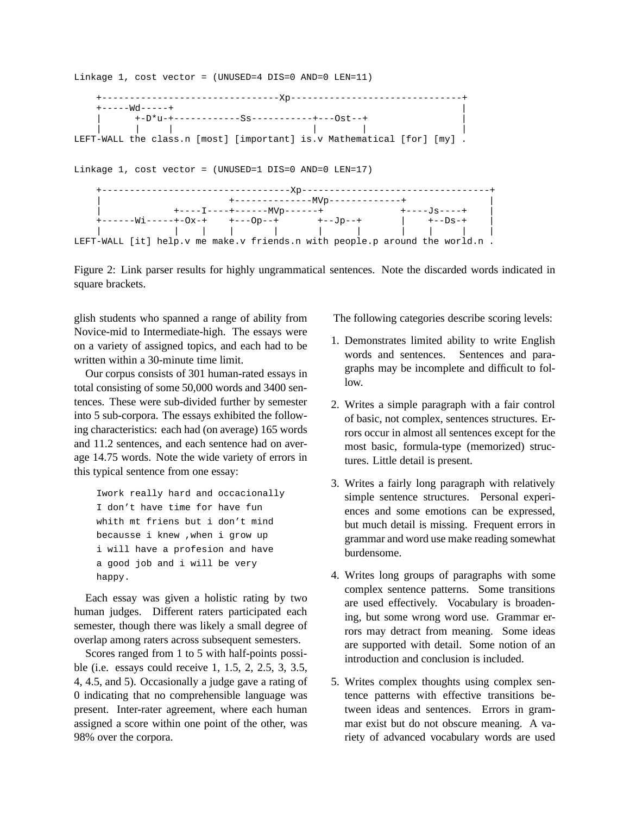Linkage 1, cost vector = (UNUSED=4 DIS=0 AND=0 LEN=11) +--------------------------------Xp-------------------------------+ +-----Wd-----+ | +-D\*u-+-------------Ss------------+---0st--+<br>| | | | || | | | LEFT-WALL the class.n [most] [important] is.v Mathematical [for] [my] . Linkage 1, cost vector = (UNUSED=1 DIS=0 AND=0 LEN=17) +----------------------------------Xp----------------------------------+ | +--------------MVp-------------+ | | +----I----+------MVp------+ +----Js----+ | +------Wi-----+-Ox-+ +---Op--+ +--Jp--+ | +--Ds-+ | | ||| | | | || || LEFT-WALL [it] help.v me make.v friends.n with people.p around the world.n .

Figure 2: Link parser results for highly ungrammatical sentences. Note the discarded words indicated in square brackets.

glish students who spanned a range of ability from Novice-mid to Intermediate-high. The essays were on a variety of assigned topics, and each had to be written within a 30-minute time limit.

Our corpus consists of 301 human-rated essays in total consisting of some 50,000 words and 3400 sentences. These were sub-divided further by semester into 5 sub-corpora. The essays exhibited the following characteristics: each had (on average) 165 words and 11.2 sentences, and each sentence had on average 14.75 words. Note the wide variety of errors in this typical sentence from one essay:

```
Iwork really hard and occacionally
I don't have time for have fun
whith mt friens but i don't mind
becausse i knew ,when i grow up
i will have a profesion and have
a good job and i will be very
happy.
```
Each essay was given a holistic rating by two human judges. Different raters participated each semester, though there was likely a small degree of overlap among raters across subsequent semesters.

Scores ranged from 1 to 5 with half-points possible (i.e. essays could receive 1, 1.5, 2, 2.5, 3, 3.5, 4, 4.5, and 5). Occasionally a judge gave a rating of 0 indicating that no comprehensible language was present. Inter-rater agreement, where each human assigned a score within one point of the other, was 98% over the corpora.

The following categories describe scoring levels:

- 1. Demonstrates limited ability to write English words and sentences. Sentences and paragraphs may be incomplete and difficult to follow.
- 2. Writes a simple paragraph with a fair control of basic, not complex, sentences structures. Errors occur in almost all sentences except for the most basic, formula-type (memorized) structures. Little detail is present.
- 3. Writes a fairly long paragraph with relatively simple sentence structures. Personal experiences and some emotions can be expressed, but much detail is missing. Frequent errors in grammar and word use make reading somewhat burdensome.
- 4. Writes long groups of paragraphs with some complex sentence patterns. Some transitions are used effectively. Vocabulary is broadening, but some wrong word use. Grammar errors may detract from meaning. Some ideas are supported with detail. Some notion of an introduction and conclusion is included.
- 5. Writes complex thoughts using complex sentence patterns with effective transitions between ideas and sentences. Errors in grammar exist but do not obscure meaning. A variety of advanced vocabulary words are used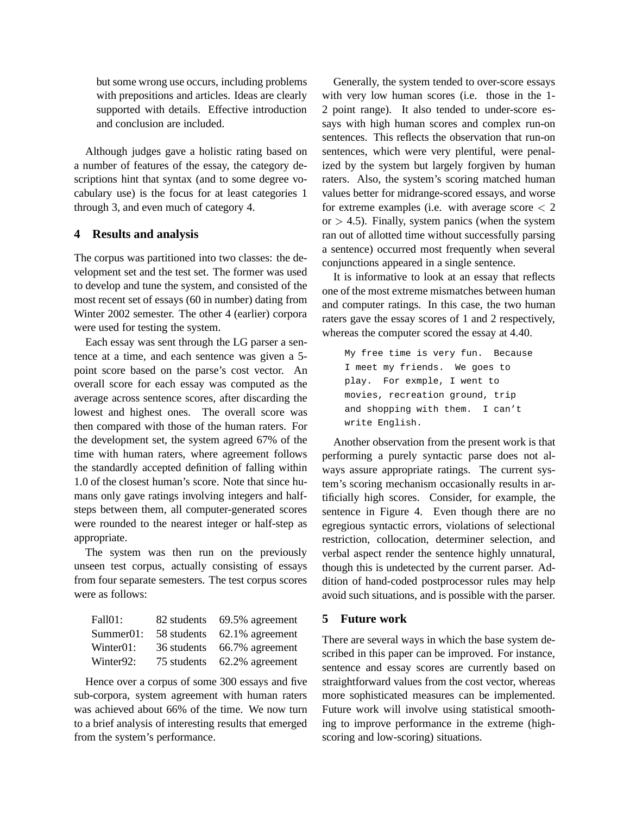but some wrong use occurs, including problems with prepositions and articles. Ideas are clearly supported with details. Effective introduction and conclusion are included.

Although judges gave a holistic rating based on a number of features of the essay, the category descriptions hint that syntax (and to some degree vocabulary use) is the focus for at least categories 1 through 3, and even much of category 4.

#### **4 Results and analysis**

The corpus was partitioned into two classes: the development set and the test set. The former was used to develop and tune the system, and consisted of the most recent set of essays (60 in number) dating from Winter 2002 semester. The other 4 (earlier) corpora were used for testing the system.

Each essay was sent through the LG parser a sentence at a time, and each sentence was given a 5 point score based on the parse's cost vector. An overall score for each essay was computed as the average across sentence scores, after discarding the lowest and highest ones. The overall score was then compared with those of the human raters. For the development set, the system agreed 67% of the time with human raters, where agreement follows the standardly accepted definition of falling within 1.0 of the closest human's score. Note that since humans only gave ratings involving integers and halfsteps between them, all computer-generated scores were rounded to the nearest integer or half-step as appropriate.

The system was then run on the previously unseen test corpus, actually consisting of essays from four separate semesters. The test corpus scores were as follows:

| Fall01:                | 82 students 69.5% agreement |
|------------------------|-----------------------------|
| Summer01:              | 58 students 62.1% agreement |
| Winter <sub>01</sub> : | 36 students 66.7% agreement |
| Winter92:              | 75 students 62.2% agreement |

Hence over a corpus of some 300 essays and five sub-corpora, system agreement with human raters was achieved about 66% of the time. We now turn to a brief analysis of interesting results that emerged from the system's performance.

Generally, the system tended to over-score essays with very low human scores (i.e. those in the 1- 2 point range). It also tended to under-score essays with high human scores and complex run-on sentences. This reflects the observation that run-on sentences, which were very plentiful, were penalized by the system but largely forgiven by human raters. Also, the system's scoring matched human values better for midrange-scored essays, and worse for extreme examples (i.e. with average score  $\lt 2$ or  $> 4.5$ ). Finally, system panics (when the system ran out of allotted time without successfully parsing a sentence) occurred most frequently when several conjunctions appeared in a single sentence.

It is informative to look at an essay that reflects one of the most extreme mismatches between human and computer ratings. In this case, the two human raters gave the essay scores of 1 and 2 respectively, whereas the computer scored the essay at 4.40.

```
My free time is very fun. Because
I meet my friends. We goes to
play. For exmple, I went to
movies, recreation ground, trip
and shopping with them. I can't
write English.
```
Another observation from the present work is that performing a purely syntactic parse does not always assure appropriate ratings. The current system's scoring mechanism occasionally results in artificially high scores. Consider, for example, the sentence in Figure 4. Even though there are no egregious syntactic errors, violations of selectional restriction, collocation, determiner selection, and verbal aspect render the sentence highly unnatural, though this is undetected by the current parser. Addition of hand-coded postprocessor rules may help avoid such situations, and is possible with the parser.

#### **5 Future work**

There are several ways in which the base system described in this paper can be improved. For instance, sentence and essay scores are currently based on straightforward values from the cost vector, whereas more sophisticated measures can be implemented. Future work will involve using statistical smoothing to improve performance in the extreme (highscoring and low-scoring) situations.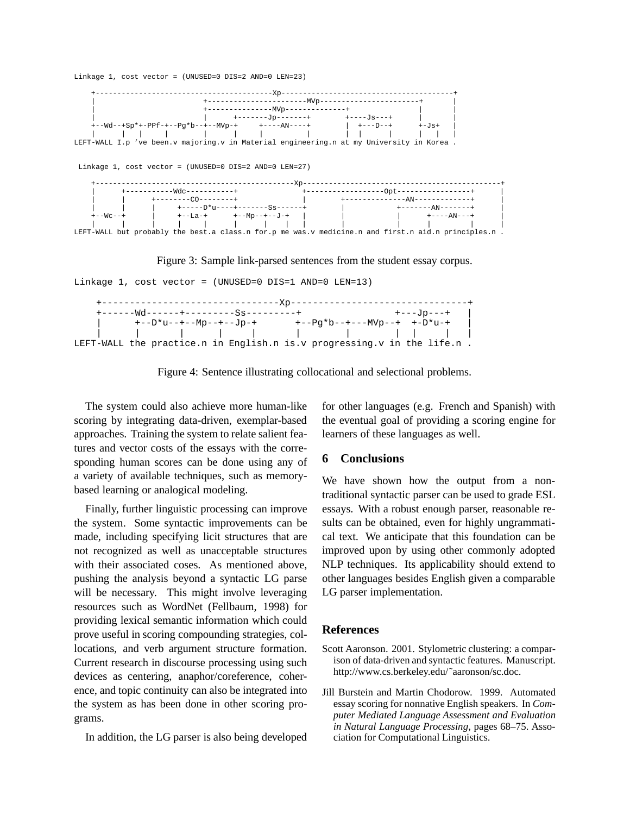

Figure 3: Sample link-parsed sentences from the student essay corpus.



| $+---Wd---+---+------Ss------+$                                               |                                                                         | +---Jp---+ |  |
|-------------------------------------------------------------------------------|-------------------------------------------------------------------------|------------|--|
| +--D*u--+--Mp--+--Jp-+                                                        | +--Pq*b--+---MVp--+ +-D*u-+                                             |            |  |
| $\frac{1}{2}$ . $\frac{1}{2}$ . $\frac{1}{2}$ . $\frac{1}{2}$ . $\frac{1}{2}$ |                                                                         |            |  |
|                                                                               | LEFT-WALL the practice.n in English.n is.v progressing.v in the life.n. |            |  |

Figure 4: Sentence illustrating collocational and selectional problems.

The system could also achieve more human-like scoring by integrating data-driven, exemplar-based approaches. Training the system to relate salient features and vector costs of the essays with the corresponding human scores can be done using any of a variety of available techniques, such as memorybased learning or analogical modeling.

Finally, further linguistic processing can improve the system. Some syntactic improvements can be made, including specifying licit structures that are not recognized as well as unacceptable structures with their associated coses. As mentioned above, pushing the analysis beyond a syntactic LG parse will be necessary. This might involve leveraging resources such as WordNet (Fellbaum, 1998) for providing lexical semantic information which could prove useful in scoring compounding strategies, collocations, and verb argument structure formation. Current research in discourse processing using such devices as centering, anaphor/coreference, coherence, and topic continuity can also be integrated into the system as has been done in other scoring programs.

In addition, the LG parser is also being developed

for other languages (e.g. French and Spanish) with the eventual goal of providing a scoring engine for learners of these languages as well.

# **6 Conclusions**

We have shown how the output from a nontraditional syntactic parser can be used to grade ESL essays. With a robust enough parser, reasonable results can be obtained, even for highly ungrammatical text. We anticipate that this foundation can be improved upon by using other commonly adopted NLP techniques. Its applicability should extend to other languages besides English given a comparable LG parser implementation.

#### **References**

- Scott Aaronson. 2001. Stylometric clustering: a comparison of data-driven and syntactic features. Manuscript. http://www.cs.berkeley.edu/˜aaronson/sc.doc.
- Jill Burstein and Martin Chodorow. 1999. Automated essay scoring for nonnative English speakers. In *Computer Mediated Language Assessment and Evaluation in Natural Language Processing*, pages 68–75. Association for Computational Linguistics.